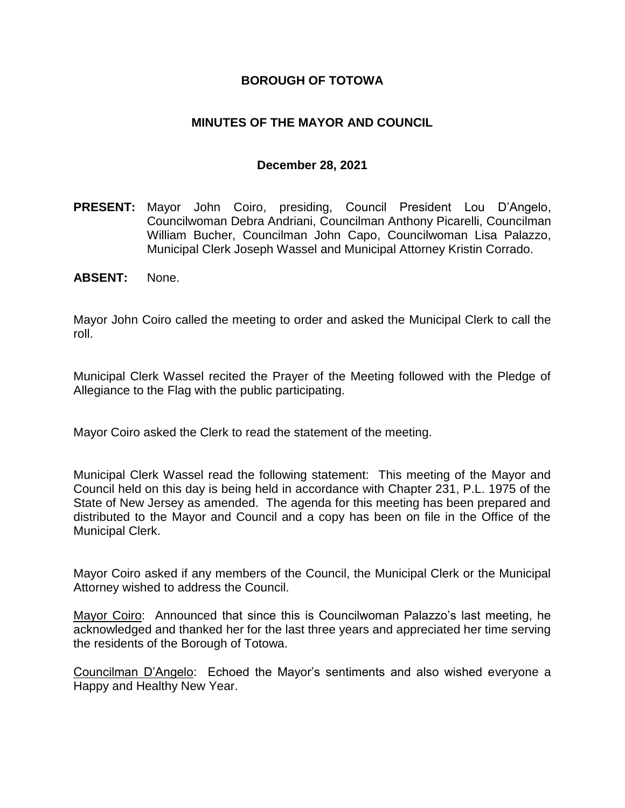### **BOROUGH OF TOTOWA**

## **MINUTES OF THE MAYOR AND COUNCIL**

### **December 28, 2021**

- **PRESENT:** Mayor John Coiro, presiding, Council President Lou D'Angelo, Councilwoman Debra Andriani, Councilman Anthony Picarelli, Councilman William Bucher, Councilman John Capo, Councilwoman Lisa Palazzo, Municipal Clerk Joseph Wassel and Municipal Attorney Kristin Corrado.
- **ABSENT:** None.

Mayor John Coiro called the meeting to order and asked the Municipal Clerk to call the roll.

Municipal Clerk Wassel recited the Prayer of the Meeting followed with the Pledge of Allegiance to the Flag with the public participating.

Mayor Coiro asked the Clerk to read the statement of the meeting.

Municipal Clerk Wassel read the following statement: This meeting of the Mayor and Council held on this day is being held in accordance with Chapter 231, P.L. 1975 of the State of New Jersey as amended. The agenda for this meeting has been prepared and distributed to the Mayor and Council and a copy has been on file in the Office of the Municipal Clerk.

Mayor Coiro asked if any members of the Council, the Municipal Clerk or the Municipal Attorney wished to address the Council.

Mayor Coiro: Announced that since this is Councilwoman Palazzo's last meeting, he acknowledged and thanked her for the last three years and appreciated her time serving the residents of the Borough of Totowa.

Councilman D'Angelo: Echoed the Mayor's sentiments and also wished everyone a Happy and Healthy New Year.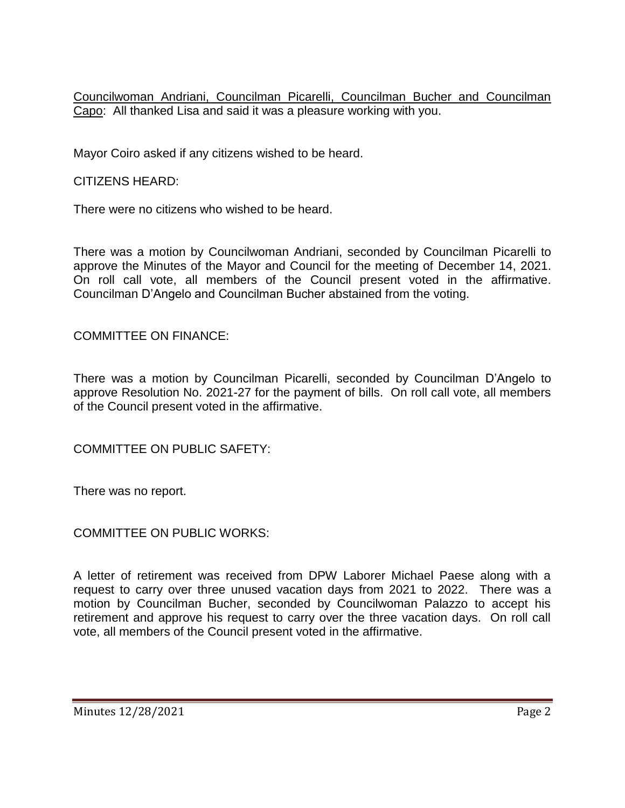Councilwoman Andriani, Councilman Picarelli, Councilman Bucher and Councilman Capo: All thanked Lisa and said it was a pleasure working with you.

Mayor Coiro asked if any citizens wished to be heard.

CITIZENS HEARD:

There were no citizens who wished to be heard.

There was a motion by Councilwoman Andriani, seconded by Councilman Picarelli to approve the Minutes of the Mayor and Council for the meeting of December 14, 2021. On roll call vote, all members of the Council present voted in the affirmative. Councilman D'Angelo and Councilman Bucher abstained from the voting.

COMMITTEE ON FINANCE:

There was a motion by Councilman Picarelli, seconded by Councilman D'Angelo to approve Resolution No. 2021-27 for the payment of bills. On roll call vote, all members of the Council present voted in the affirmative.

COMMITTEE ON PUBLIC SAFETY:

There was no report.

COMMITTEE ON PUBLIC WORKS:

A letter of retirement was received from DPW Laborer Michael Paese along with a request to carry over three unused vacation days from 2021 to 2022. There was a motion by Councilman Bucher, seconded by Councilwoman Palazzo to accept his retirement and approve his request to carry over the three vacation days. On roll call vote, all members of the Council present voted in the affirmative.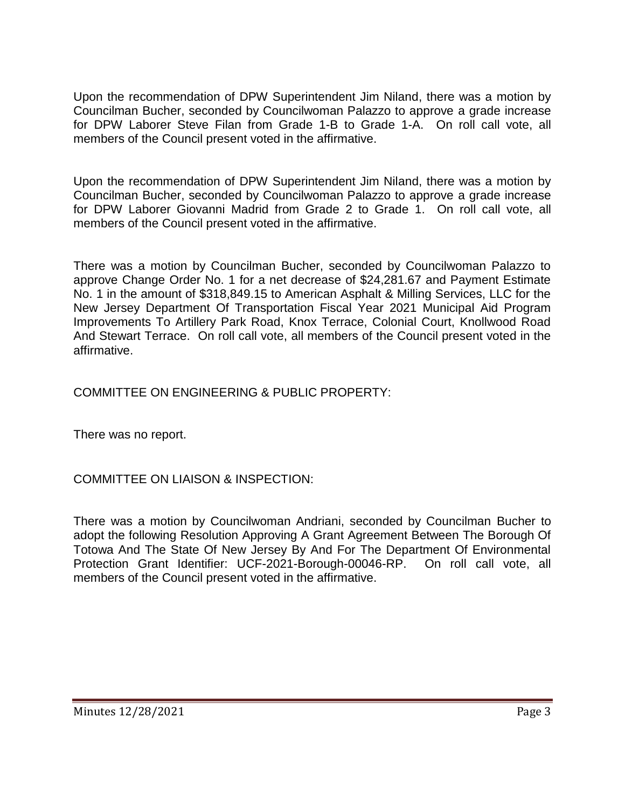Upon the recommendation of DPW Superintendent Jim Niland, there was a motion by Councilman Bucher, seconded by Councilwoman Palazzo to approve a grade increase for DPW Laborer Steve Filan from Grade 1-B to Grade 1-A. On roll call vote, all members of the Council present voted in the affirmative.

Upon the recommendation of DPW Superintendent Jim Niland, there was a motion by Councilman Bucher, seconded by Councilwoman Palazzo to approve a grade increase for DPW Laborer Giovanni Madrid from Grade 2 to Grade 1. On roll call vote, all members of the Council present voted in the affirmative.

There was a motion by Councilman Bucher, seconded by Councilwoman Palazzo to approve Change Order No. 1 for a net decrease of \$24,281.67 and Payment Estimate No. 1 in the amount of \$318,849.15 to American Asphalt & Milling Services, LLC for the New Jersey Department Of Transportation Fiscal Year 2021 Municipal Aid Program Improvements To Artillery Park Road, Knox Terrace, Colonial Court, Knollwood Road And Stewart Terrace. On roll call vote, all members of the Council present voted in the affirmative.

COMMITTEE ON ENGINEERING & PUBLIC PROPERTY:

There was no report.

# COMMITTEE ON LIAISON & INSPECTION:

There was a motion by Councilwoman Andriani, seconded by Councilman Bucher to adopt the following Resolution Approving A Grant Agreement Between The Borough Of Totowa And The State Of New Jersey By And For The Department Of Environmental Protection Grant Identifier: UCF-2021-Borough-00046-RP. On roll call vote, all members of the Council present voted in the affirmative.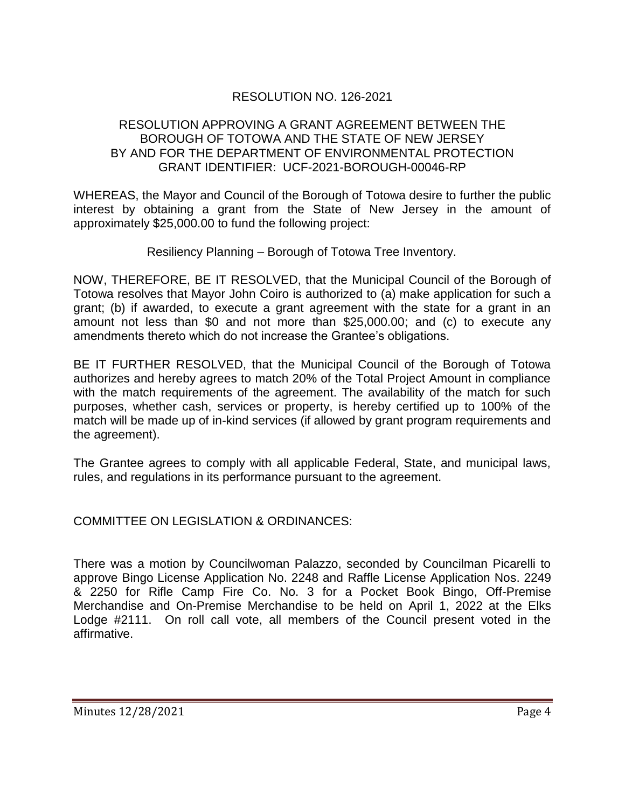## RESOLUTION NO. 126-2021

### RESOLUTION APPROVING A GRANT AGREEMENT BETWEEN THE BOROUGH OF TOTOWA AND THE STATE OF NEW JERSEY BY AND FOR THE DEPARTMENT OF ENVIRONMENTAL PROTECTION GRANT IDENTIFIER: UCF-2021-BOROUGH-00046-RP

WHEREAS, the Mayor and Council of the Borough of Totowa desire to further the public interest by obtaining a grant from the State of New Jersey in the amount of approximately \$25,000.00 to fund the following project:

Resiliency Planning – Borough of Totowa Tree Inventory.

NOW, THEREFORE, BE IT RESOLVED, that the Municipal Council of the Borough of Totowa resolves that Mayor John Coiro is authorized to (a) make application for such a grant; (b) if awarded, to execute a grant agreement with the state for a grant in an amount not less than \$0 and not more than \$25,000.00; and (c) to execute any amendments thereto which do not increase the Grantee's obligations.

BE IT FURTHER RESOLVED, that the Municipal Council of the Borough of Totowa authorizes and hereby agrees to match 20% of the Total Project Amount in compliance with the match requirements of the agreement. The availability of the match for such purposes, whether cash, services or property, is hereby certified up to 100% of the match will be made up of in-kind services (if allowed by grant program requirements and the agreement).

The Grantee agrees to comply with all applicable Federal, State, and municipal laws, rules, and regulations in its performance pursuant to the agreement.

COMMITTEE ON LEGISLATION & ORDINANCES:

There was a motion by Councilwoman Palazzo, seconded by Councilman Picarelli to approve Bingo License Application No. 2248 and Raffle License Application Nos. 2249 & 2250 for Rifle Camp Fire Co. No. 3 for a Pocket Book Bingo, Off-Premise Merchandise and On-Premise Merchandise to be held on April 1, 2022 at the Elks Lodge #2111. On roll call vote, all members of the Council present voted in the affirmative.